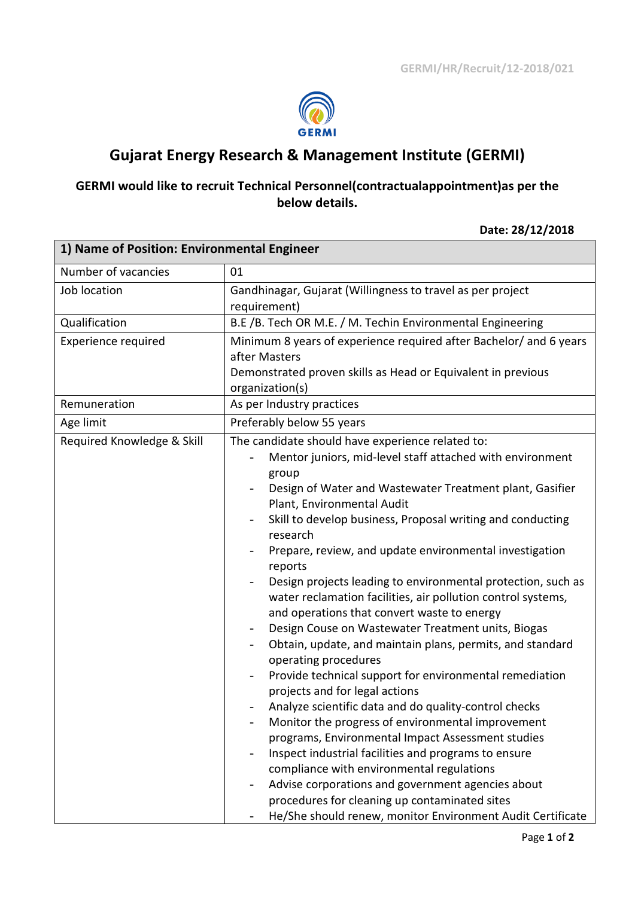

## **Gujarat Energy Research & Management Institute (GERMI)**

## **GERMI would like to recruit Technical Personnel(contractualappointment)as per the below details.**

**Date: 28/12/2018**

|                            | 1) Name of Position: Environmental Engineer                                                                                                                                                                                                                                                                                                                                                                                                                                                                                                                                                                                                                                                                                                                                                                                                                                                                                                                                                                                                                                                                                                                                                                                         |
|----------------------------|-------------------------------------------------------------------------------------------------------------------------------------------------------------------------------------------------------------------------------------------------------------------------------------------------------------------------------------------------------------------------------------------------------------------------------------------------------------------------------------------------------------------------------------------------------------------------------------------------------------------------------------------------------------------------------------------------------------------------------------------------------------------------------------------------------------------------------------------------------------------------------------------------------------------------------------------------------------------------------------------------------------------------------------------------------------------------------------------------------------------------------------------------------------------------------------------------------------------------------------|
| Number of vacancies        | 01                                                                                                                                                                                                                                                                                                                                                                                                                                                                                                                                                                                                                                                                                                                                                                                                                                                                                                                                                                                                                                                                                                                                                                                                                                  |
| Job location               | Gandhinagar, Gujarat (Willingness to travel as per project<br>requirement)                                                                                                                                                                                                                                                                                                                                                                                                                                                                                                                                                                                                                                                                                                                                                                                                                                                                                                                                                                                                                                                                                                                                                          |
| Qualification              | B.E /B. Tech OR M.E. / M. Techin Environmental Engineering                                                                                                                                                                                                                                                                                                                                                                                                                                                                                                                                                                                                                                                                                                                                                                                                                                                                                                                                                                                                                                                                                                                                                                          |
| <b>Experience required</b> | Minimum 8 years of experience required after Bachelor/ and 6 years<br>after Masters<br>Demonstrated proven skills as Head or Equivalent in previous<br>organization(s)                                                                                                                                                                                                                                                                                                                                                                                                                                                                                                                                                                                                                                                                                                                                                                                                                                                                                                                                                                                                                                                              |
| Remuneration               | As per Industry practices                                                                                                                                                                                                                                                                                                                                                                                                                                                                                                                                                                                                                                                                                                                                                                                                                                                                                                                                                                                                                                                                                                                                                                                                           |
| Age limit                  | Preferably below 55 years                                                                                                                                                                                                                                                                                                                                                                                                                                                                                                                                                                                                                                                                                                                                                                                                                                                                                                                                                                                                                                                                                                                                                                                                           |
| Required Knowledge & Skill | The candidate should have experience related to:<br>Mentor juniors, mid-level staff attached with environment<br>group<br>Design of Water and Wastewater Treatment plant, Gasifier<br>Plant, Environmental Audit<br>Skill to develop business, Proposal writing and conducting<br>research<br>Prepare, review, and update environmental investigation<br>reports<br>Design projects leading to environmental protection, such as<br>water reclamation facilities, air pollution control systems,<br>and operations that convert waste to energy<br>Design Couse on Wastewater Treatment units, Biogas<br>Obtain, update, and maintain plans, permits, and standard<br>operating procedures<br>Provide technical support for environmental remediation<br>projects and for legal actions<br>Analyze scientific data and do quality-control checks<br>Monitor the progress of environmental improvement<br>programs, Environmental Impact Assessment studies<br>Inspect industrial facilities and programs to ensure<br>compliance with environmental regulations<br>Advise corporations and government agencies about<br>procedures for cleaning up contaminated sites<br>He/She should renew, monitor Environment Audit Certificate |